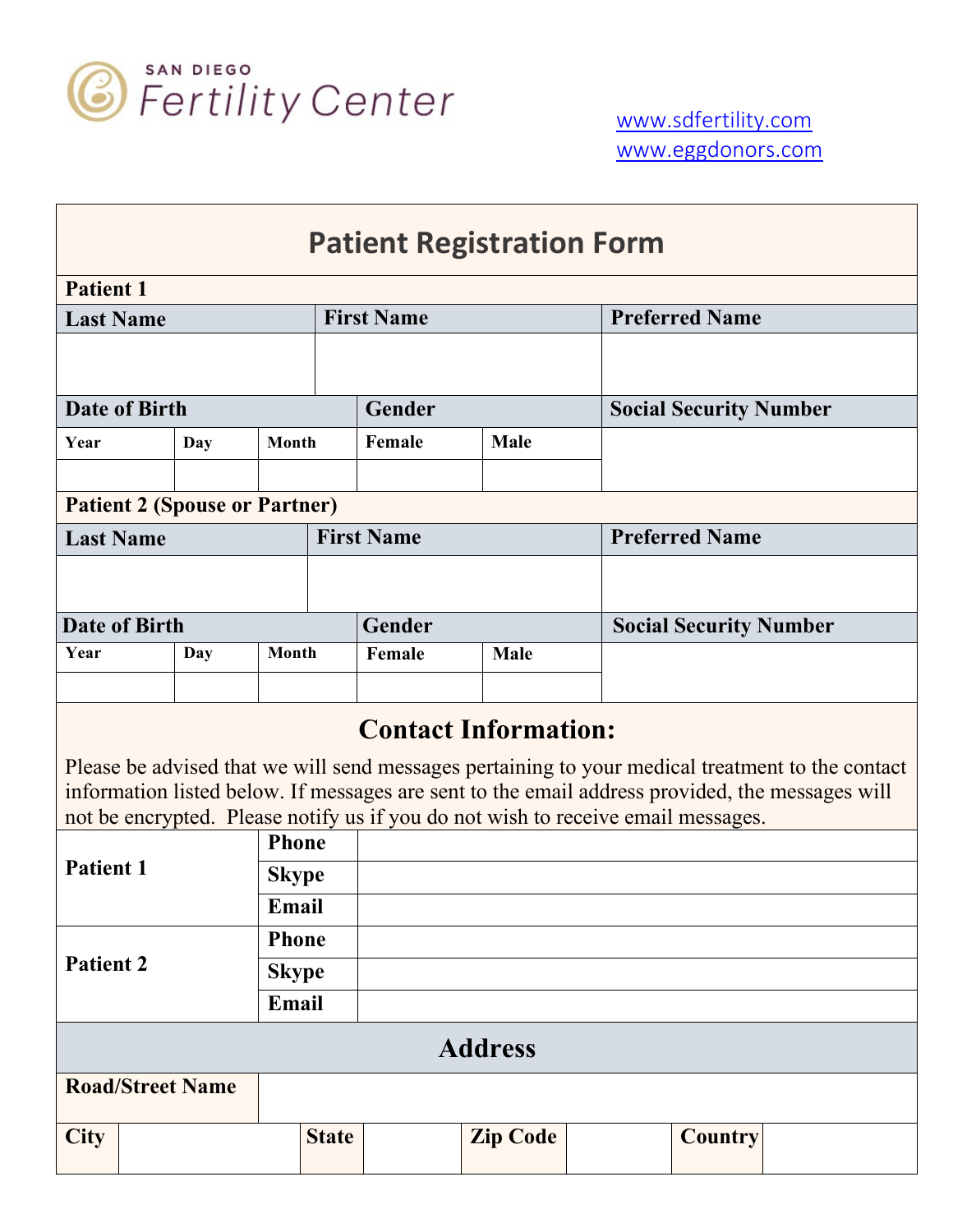

| <b>Patient Registration Form</b>                                                                                                                                                                    |              |              |              |                   |                                                                                  |  |                               |  |  |
|-----------------------------------------------------------------------------------------------------------------------------------------------------------------------------------------------------|--------------|--------------|--------------|-------------------|----------------------------------------------------------------------------------|--|-------------------------------|--|--|
| <b>Patient 1</b>                                                                                                                                                                                    |              |              |              |                   |                                                                                  |  |                               |  |  |
| <b>Last Name</b>                                                                                                                                                                                    |              |              |              | <b>First Name</b> |                                                                                  |  | <b>Preferred Name</b>         |  |  |
|                                                                                                                                                                                                     |              |              |              |                   |                                                                                  |  |                               |  |  |
| <b>Date of Birth</b>                                                                                                                                                                                |              |              |              | Gender            |                                                                                  |  | <b>Social Security Number</b> |  |  |
| Year                                                                                                                                                                                                | Month<br>Day |              |              | Female            | <b>Male</b>                                                                      |  |                               |  |  |
|                                                                                                                                                                                                     |              |              |              |                   |                                                                                  |  |                               |  |  |
| <b>Patient 2 (Spouse or Partner)</b>                                                                                                                                                                |              |              |              |                   |                                                                                  |  |                               |  |  |
| <b>Last Name</b>                                                                                                                                                                                    |              |              |              | <b>First Name</b> |                                                                                  |  | <b>Preferred Name</b>         |  |  |
|                                                                                                                                                                                                     |              |              |              |                   |                                                                                  |  |                               |  |  |
| <b>Date of Birth</b>                                                                                                                                                                                |              |              |              | Gender            |                                                                                  |  | <b>Social Security Number</b> |  |  |
| Year                                                                                                                                                                                                | Day          | Month        |              | Female            | Male                                                                             |  |                               |  |  |
|                                                                                                                                                                                                     |              |              |              |                   |                                                                                  |  |                               |  |  |
| <b>Contact Information:</b>                                                                                                                                                                         |              |              |              |                   |                                                                                  |  |                               |  |  |
| Please be advised that we will send messages pertaining to your medical treatment to the contact<br>information listed below. If messages are sent to the email address provided, the messages will |              |              |              |                   |                                                                                  |  |                               |  |  |
|                                                                                                                                                                                                     |              |              |              |                   | not be encrypted. Please notify us if you do not wish to receive email messages. |  |                               |  |  |
| <b>Phone</b><br><b>Patient 1</b>                                                                                                                                                                    |              |              |              |                   |                                                                                  |  |                               |  |  |
|                                                                                                                                                                                                     |              | <b>Skype</b> |              |                   |                                                                                  |  |                               |  |  |
|                                                                                                                                                                                                     |              | Email        |              |                   |                                                                                  |  |                               |  |  |
| <b>Patient 2</b>                                                                                                                                                                                    |              | <b>Phone</b> |              |                   |                                                                                  |  |                               |  |  |
|                                                                                                                                                                                                     |              | <b>Skype</b> |              |                   |                                                                                  |  |                               |  |  |
|                                                                                                                                                                                                     |              | Email        |              |                   |                                                                                  |  |                               |  |  |
| <b>Address</b>                                                                                                                                                                                      |              |              |              |                   |                                                                                  |  |                               |  |  |
| <b>Road/Street Name</b>                                                                                                                                                                             |              |              |              |                   |                                                                                  |  |                               |  |  |
| <b>City</b>                                                                                                                                                                                         |              |              | <b>State</b> |                   | <b>Zip Code</b>                                                                  |  | <b>Country</b>                |  |  |
|                                                                                                                                                                                                     |              |              |              |                   |                                                                                  |  |                               |  |  |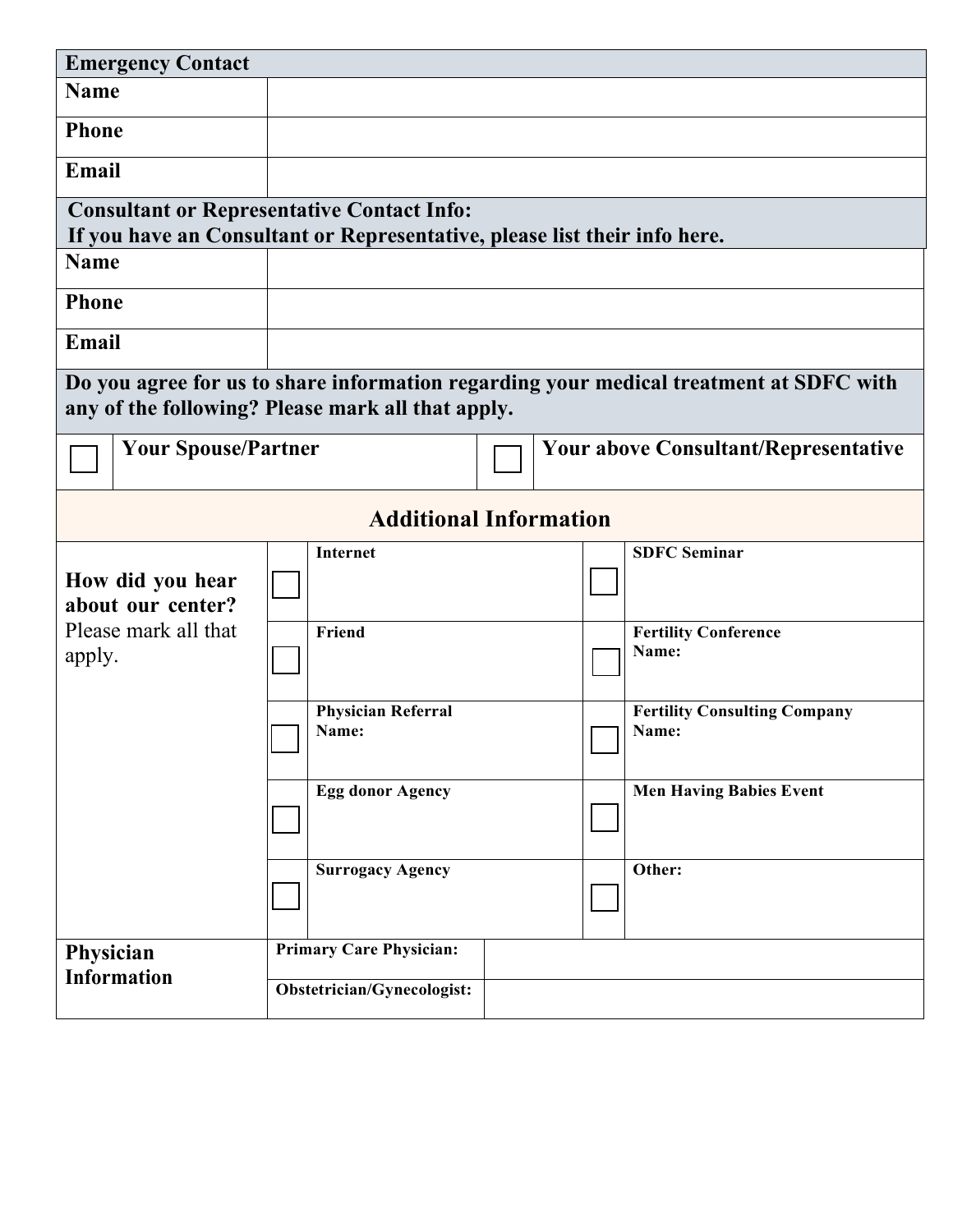| <b>Emergency Contact</b>                                                                                                                    |                                                                           |                                             |  |                                              |  |  |  |  |  |
|---------------------------------------------------------------------------------------------------------------------------------------------|---------------------------------------------------------------------------|---------------------------------------------|--|----------------------------------------------|--|--|--|--|--|
| <b>Name</b>                                                                                                                                 |                                                                           |                                             |  |                                              |  |  |  |  |  |
| <b>Phone</b>                                                                                                                                |                                                                           |                                             |  |                                              |  |  |  |  |  |
| Email                                                                                                                                       |                                                                           |                                             |  |                                              |  |  |  |  |  |
|                                                                                                                                             | <b>Consultant or Representative Contact Info:</b>                         |                                             |  |                                              |  |  |  |  |  |
|                                                                                                                                             | If you have an Consultant or Representative, please list their info here. |                                             |  |                                              |  |  |  |  |  |
| <b>Name</b>                                                                                                                                 |                                                                           |                                             |  |                                              |  |  |  |  |  |
| <b>Phone</b>                                                                                                                                |                                                                           |                                             |  |                                              |  |  |  |  |  |
| Email                                                                                                                                       |                                                                           |                                             |  |                                              |  |  |  |  |  |
| Do you agree for us to share information regarding your medical treatment at SDFC with<br>any of the following? Please mark all that apply. |                                                                           |                                             |  |                                              |  |  |  |  |  |
| <b>Your Spouse/Partner</b>                                                                                                                  |                                                                           | <b>Your above Consultant/Representative</b> |  |                                              |  |  |  |  |  |
| <b>Additional Information</b>                                                                                                               |                                                                           |                                             |  |                                              |  |  |  |  |  |
| How did you hear<br>about our center?                                                                                                       | <b>Internet</b>                                                           |                                             |  | <b>SDFC Seminar</b>                          |  |  |  |  |  |
| Please mark all that<br>apply.                                                                                                              | Friend                                                                    |                                             |  | <b>Fertility Conference</b><br>Name:         |  |  |  |  |  |
|                                                                                                                                             | <b>Physician Referral</b><br>Name:                                        |                                             |  | <b>Fertility Consulting Company</b><br>Name: |  |  |  |  |  |
|                                                                                                                                             | <b>Egg donor Agency</b>                                                   |                                             |  | <b>Men Having Babies Event</b>               |  |  |  |  |  |
|                                                                                                                                             | <b>Surrogacy Agency</b>                                                   |                                             |  | Other:                                       |  |  |  |  |  |
| Physician                                                                                                                                   | <b>Primary Care Physician:</b>                                            |                                             |  |                                              |  |  |  |  |  |
| <b>Information</b>                                                                                                                          | Obstetrician/Gynecologist:                                                |                                             |  |                                              |  |  |  |  |  |